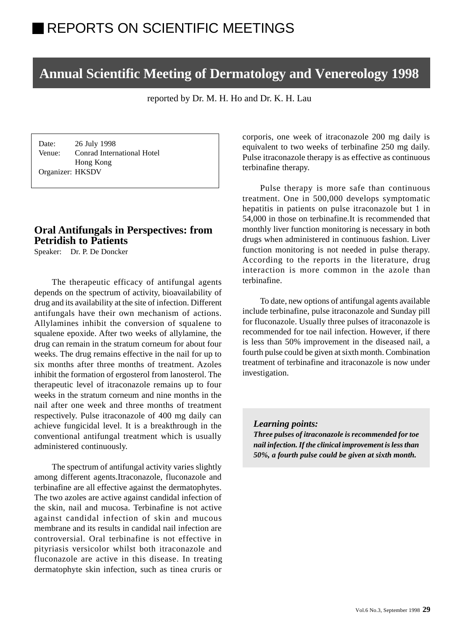# **Annual Scientific Meeting of Dermatology and Venereology 1998**

reported by Dr. M. H. Ho and Dr. K. H. Lau

Date: 26 July 1998 Venue: Conrad International Hotel Hong Kong Organizer: HKSDV

## **Oral Antifungals in Perspectives: from Petridish to Patients**

Speaker: Dr. P. De Doncker

The therapeutic efficacy of antifungal agents depends on the spectrum of activity, bioavailability of drug and its availability at the site of infection. Different antifungals have their own mechanism of actions. Allylamines inhibit the conversion of squalene to squalene epoxide. After two weeks of allylamine, the drug can remain in the stratum corneum for about four weeks. The drug remains effective in the nail for up to six months after three months of treatment. Azoles inhibit the formation of ergosterol from lanosterol. The therapeutic level of itraconazole remains up to four weeks in the stratum corneum and nine months in the nail after one week and three months of treatment respectively. Pulse itraconazole of 400 mg daily can achieve fungicidal level. It is a breakthrough in the conventional antifungal treatment which is usually administered continuously.

The spectrum of antifungal activity varies slightly among different agents.Itraconazole, fluconazole and terbinafine are all effective against the dermatophytes. The two azoles are active against candidal infection of the skin, nail and mucosa. Terbinafine is not active against candidal infection of skin and mucous membrane and its results in candidal nail infection are controversial. Oral terbinafine is not effective in pityriasis versicolor whilst both itraconazole and fluconazole are active in this disease. In treating dermatophyte skin infection, such as tinea cruris or

corporis, one week of itraconazole 200 mg daily is equivalent to two weeks of terbinafine 250 mg daily. Pulse itraconazole therapy is as effective as continuous terbinafine therapy.

Pulse therapy is more safe than continuous treatment. One in 500,000 develops symptomatic hepatitis in patients on pulse itraconazole but 1 in 54,000 in those on terbinafine.It is recommended that monthly liver function monitoring is necessary in both drugs when administered in continuous fashion. Liver function monitoring is not needed in pulse therapy. According to the reports in the literature, drug interaction is more common in the azole than terbinafine.

To date, new options of antifungal agents available include terbinafine, pulse itraconazole and Sunday pill for fluconazole. Usually three pulses of itraconazole is recommended for toe nail infection. However, if there is less than 50% improvement in the diseased nail, a fourth pulse could be given at sixth month. Combination treatment of terbinafine and itraconazole is now under investigation.

*Learning points:*

*Three pulses of itraconazole is recommended for toe nail infection. If the clinical improvement is less than 50%, a fourth pulse could be given at sixth month.*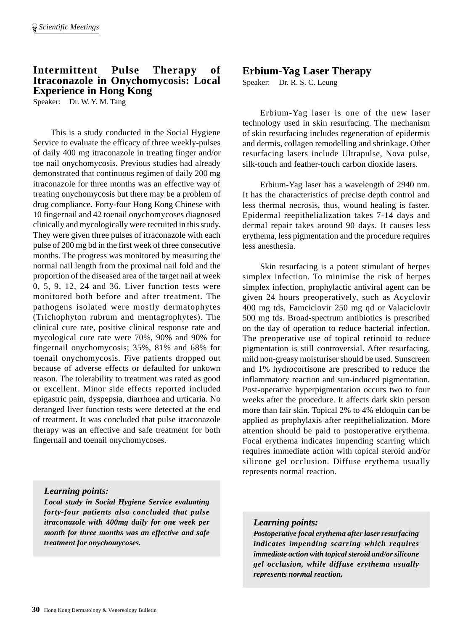# **Intermittent Pulse Therapy of Itraconazole in Onychomycosis: Local Experience in Hong Kong**

Speaker: Dr. W. Y. M. Tang

This is a study conducted in the Social Hygiene Service to evaluate the efficacy of three weekly-pulses of daily 400 mg itraconazole in treating finger and/or toe nail onychomycosis. Previous studies had already demonstrated that continuous regimen of daily 200 mg itraconazole for three months was an effective way of treating onychomycosis but there may be a problem of drug compliance. Forty-four Hong Kong Chinese with 10 fingernail and 42 toenail onychomycoses diagnosed clinically and mycologically were recruited in this study. They were given three pulses of itraconazole with each pulse of 200 mg bd in the first week of three consecutive months. The progress was monitored by measuring the normal nail length from the proximal nail fold and the proportion of the diseased area of the target nail at week 0, 5, 9, 12, 24 and 36. Liver function tests were monitored both before and after treatment. The pathogens isolated were mostly dermatophytes (Trichophyton rubrum and mentagrophytes). The clinical cure rate, positive clinical response rate and mycological cure rate were 70%, 90% and 90% for fingernail onychomycosis; 35%, 81% and 68% for toenail onychomycosis. Five patients dropped out because of adverse effects or defaulted for unkown reason. The tolerability to treatment was rated as good or excellent. Minor side effects reported included epigastric pain, dyspepsia, diarrhoea and urticaria. No deranged liver function tests were detected at the end of treatment. It was concluded that pulse itraconazole therapy was an effective and safe treatment for both fingernail and toenail onychomycoses.

### *Learning points:*

*Local study in Social Hygiene Service evaluating forty-four patients also concluded that pulse itraconazole with 400mg daily for one week per month for three months was an effective and safe treatment for onychomycoses.*

## **Erbium-Yag Laser Therapy**

Speaker: Dr. R. S. C. Leung

Erbium-Yag laser is one of the new laser technology used in skin resurfacing. The mechanism of skin resurfacing includes regeneration of epidermis and dermis, collagen remodelling and shrinkage. Other resurfacing lasers include Ultrapulse, Nova pulse, silk-touch and feather-touch carbon dioxide lasers.

Erbium-Yag laser has a wavelength of 2940 nm. It has the characteristics of precise depth control and less thermal necrosis, thus, wound healing is faster. Epidermal reepithelialization takes 7-14 days and dermal repair takes around 90 days. It causes less erythema, less pigmentation and the procedure requires less anesthesia.

Skin resurfacing is a potent stimulant of herpes simplex infection. To minimise the risk of herpes simplex infection, prophylactic antiviral agent can be given 24 hours preoperatively, such as Acyclovir 400 mg tds, Famciclovir 250 mg qd or Valaciclovir 500 mg tds. Broad-spectrum antibiotics is prescribed on the day of operation to reduce bacterial infection. The preoperative use of topical retinoid to reduce pigmentation is still controversial. After resurfacing, mild non-greasy moisturiser should be used. Sunscreen and 1% hydrocortisone are prescribed to reduce the inflammatory reaction and sun-induced pigmentation. Post-operative hyperpigmentation occurs two to four weeks after the procedure. It affects dark skin person more than fair skin. Topical 2% to 4% eldoquin can be applied as prophylaxis after reepithelialization. More attention should be paid to postoperative erythema. Focal erythema indicates impending scarring which requires immediate action with topical steroid and/or silicone gel occlusion. Diffuse erythema usually represents normal reaction.

### *Learning points:*

*Postoperative focal erythema after laser resurfacing indicates impending scarring which requires immediate action with topical steroid and/or silicone gel occlusion, while diffuse erythema usually represents normal reaction.*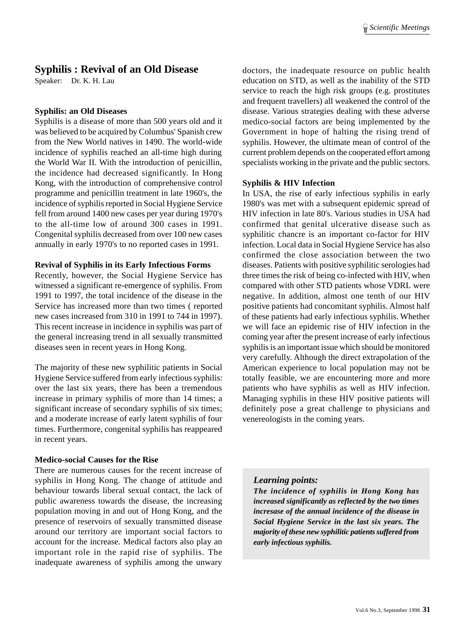## **Syphilis : Revival of an Old Disease**

Speaker: Dr. K. H. Lau

#### **Syphilis: an Old Diseases**

Syphilis is a disease of more than 500 years old and it was believed to be acquired by Columbus' Spanish crew from the New World natives in 1490. The world-wide incidence of syphilis reached an all-time high during the World War II. With the introduction of penicillin, the incidence had decreased significantly. In Hong Kong, with the introduction of comprehensive control programme and penicillin treatment in late 1960's, the incidence of syphilis reported in Social Hygiene Service fell from around 1400 new cases per year during 1970's to the all-time low of around 300 cases in 1991. Congenital syphilis decreased from over 100 new cases annually in early 1970's to no reported cases in 1991.

#### **Revival of Syphilis in its Early Infectious Forms**

Recently, however, the Social Hygiene Service has witnessed a significant re-emergence of syphilis. From 1991 to 1997, the total incidence of the disease in the Service has increased more than two times ( reported new cases increased from 310 in 1991 to 744 in 1997). This recent increase in incidence in syphilis was part of the general increasing trend in all sexually transmitted diseases seen in recent years in Hong Kong.

The majority of these new syphilitic patients in Social Hygiene Service suffered from early infectious syphilis: over the last six years, there has been a tremendous increase in primary syphilis of more than 14 times; a significant increase of secondary syphilis of six times; and a moderate increase of early latent syphilis of four times. Furthermore, congenital syphilis has reappeared in recent years.

### **Medico-social Causes for the Rise**

There are numerous causes for the recent increase of syphilis in Hong Kong. The change of attitude and behaviour towards liberal sexual contact, the lack of public awareness towards the disease, the increasing population moving in and out of Hong Kong, and the presence of reservoirs of sexually transmitted disease around our territory are important social factors to account for the increase. Medical factors also play an important role in the rapid rise of syphilis. The inadequate awareness of syphilis among the unwary doctors, the inadequate resource on public health education on STD, as well as the inability of the STD service to reach the high risk groups (e.g. prostitutes and frequent travellers) all weakened the control of the disease. Various strategies dealing with these adverse medico-social factors are being implemented by the Government in hope of halting the rising trend of syphilis. However, the ultimate mean of control of the current problem depends on the cooperated effort among specialists working in the private and the public sectors.

#### **Syphilis & HIV Infection**

In USA, the rise of early infectious syphilis in early 1980's was met with a subsequent epidemic spread of HIV infection in late 80's. Various studies in USA had confirmed that genital ulcerative disease such as syphilitic chancre is an important co-factor for HIV infection. Local data in Social Hygiene Service has also confirmed the close association between the two diseases. Patients with positive syphilitic serologies had three times the risk of being co-infected with HIV, when compared with other STD patients whose VDRL were negative. In addition, almost one tenth of our HIV positive patients had concomitant syphilis. Almost half of these patients had early infectious syphilis. Whether we will face an epidemic rise of HIV infection in the coming year after the present increase of early infectious syphilis is an important issue which should be monitored very carefully. Although the direct extrapolation of the American experience to local population may not be totally feasible, we are encountering more and more patients who have syphilis as well as HIV infection. Managing syphilis in these HIV positive patients will definitely pose a great challenge to physicians and venereologists in the coming years.

### *Learning points:*

*The incidence of syphilis in Hong Kong has increased significantly as reflected by the two times incresase of the annual incidence of the disease in Social Hygiene Service in the last six years. The majority of these new syphilitic patients suffered from early infectious syphilis.*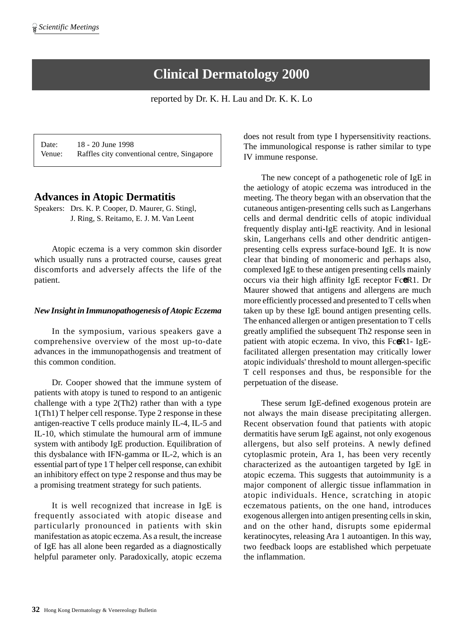# **Clinical Dermatology 2000**

reported by Dr. K. H. Lau and Dr. K. K. Lo

Date: 18 - 20 June 1998 Venue: Raffles city conventional centre, Singapore

## **Advances in Atopic Dermatitis**

Speakers: Drs. K. P. Cooper, D. Maurer, G. Stingl, J. Ring, S. Reitamo, E. J. M. Van Leent

Atopic eczema is a very common skin disorder which usually runs a protracted course, causes great discomforts and adversely affects the life of the patient.

### *New Insight in Immunopathogenesis of Atopic Eczema*

In the symposium, various speakers gave a comprehensive overview of the most up-to-date advances in the immunopathogensis and treatment of this common condition.

Dr. Cooper showed that the immune system of patients with atopy is tuned to respond to an antigenic challenge with a type 2(Th2) rather than with a type 1(Th1) T helper cell response. Type 2 response in these antigen-reactive T cells produce mainly IL-4, IL-5 and IL-10, which stimulate the humoural arm of immune system with antibody IgE production. Equilibration of this dysbalance with IFN-gamma or IL-2, which is an essential part of type 1 T helper cell response, can exhibit an inhibitory effect on type 2 response and thus may be a promising treatment strategy for such patients.

It is well recognized that increase in IgE is frequently associated with atopic disease and particularly pronounced in patients with skin manifestation as atopic eczema. As a result, the increase of IgE has all alone been regarded as a diagnostically helpful parameter only. Paradoxically, atopic eczema

does not result from type I hypersensitivity reactions. The immunological response is rather similar to type IV immune response.

The new concept of a pathogenetic role of IgE in the aetiology of atopic eczema was introduced in the meeting. The theory began with an observation that the cutaneous antigen-presenting cells such as Langerhans cells and dermal dendritic cells of atopic individual frequently display anti-IgE reactivity. And in lesional skin, Langerhans cells and other dendritic antigenpresenting cells express surface-bound IgE. It is now clear that binding of monomeric and perhaps also, complexed IgE to these antigen presenting cells mainly occurs via their high affinity IgE receptor FceR1. Dr Maurer showed that antigens and allergens are much more efficiently processed and presented to T cells when taken up by these IgE bound antigen presenting cells. The enhanced allergen or antigen presentation to T cells greatly amplified the subsequent Th2 response seen in patient with atopic eczema. In vivo, this FceR1- IgEfacilitated allergen presentation may critically lower atopic individuals' threshold to mount allergen-specific T cell responses and thus, be responsible for the perpetuation of the disease.

These serum IgE-defined exogenous protein are not always the main disease precipitating allergen. Recent observation found that patients with atopic dermatitis have serum IgE against, not only exogenous allergens, but also self proteins. A newly defined cytoplasmic protein, Ara 1, has been very recently characterized as the autoantigen targeted by IgE in atopic eczema. This suggests that autoimmunity is a major component of allergic tissue inflammation in atopic individuals. Hence, scratching in atopic eczematous patients, on the one hand, introduces exogenous allergen into antigen presenting cells in skin, and on the other hand, disrupts some epidermal keratinocytes, releasing Ara 1 autoantigen. In this way, two feedback loops are established which perpetuate the inflammation.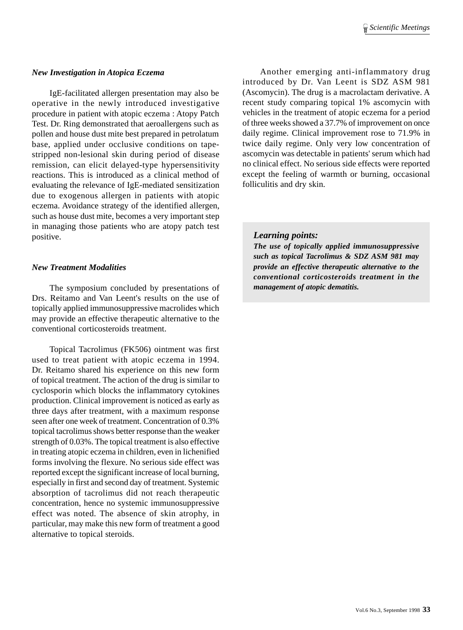#### *New Investigation in Atopica Eczema*

IgE-facilitated allergen presentation may also be operative in the newly introduced investigative procedure in patient with atopic eczema : Atopy Patch Test. Dr. Ring demonstrated that aeroallergens such as pollen and house dust mite best prepared in petrolatum base, applied under occlusive conditions on tapestripped non-lesional skin during period of disease remission, can elicit delayed-type hypersensitivity reactions. This is introduced as a clinical method of evaluating the relevance of IgE-mediated sensitization due to exogenous allergen in patients with atopic eczema. Avoidance strategy of the identified allergen, such as house dust mite, becomes a very important step in managing those patients who are atopy patch test positive.

#### *New Treatment Modalities*

The symposium concluded by presentations of Drs. Reitamo and Van Leent's results on the use of topically applied immunosuppressive macrolides which may provide an effective therapeutic alternative to the conventional corticosteroids treatment.

Topical Tacrolimus (FK506) ointment was first used to treat patient with atopic eczema in 1994. Dr. Reitamo shared his experience on this new form of topical treatment. The action of the drug is similar to cyclosporin which blocks the inflammatory cytokines production. Clinical improvement is noticed as early as three days after treatment, with a maximum response seen after one week of treatment. Concentration of 0.3% topical tacrolimus shows better response than the weaker strength of 0.03%. The topical treatment is also effective in treating atopic eczema in children, even in lichenified forms involving the flexure. No serious side effect was reported except the significant increase of local burning, especially in first and second day of treatment. Systemic absorption of tacrolimus did not reach therapeutic concentration, hence no systemic immunosuppressive effect was noted. The absence of skin atrophy, in particular, may make this new form of treatment a good alternative to topical steroids.

Another emerging anti-inflammatory drug introduced by Dr. Van Leent is SDZ ASM 981 (Ascomycin). The drug is a macrolactam derivative. A recent study comparing topical 1% ascomycin with vehicles in the treatment of atopic eczema for a period of three weeks showed a 37.7% of improvement on once daily regime. Clinical improvement rose to 71.9% in twice daily regime. Only very low concentration of ascomycin was detectable in patients' serum which had no clinical effect. No serious side effects were reported except the feeling of warmth or burning, occasional folliculitis and dry skin.

#### *Learning points:*

*The use of topically applied immunosuppressive such as topical Tacrolimus & SDZ ASM 981 may provide an effective therapeutic alternative to the conventional corticosteroids treatment in the management of atopic dematitis.*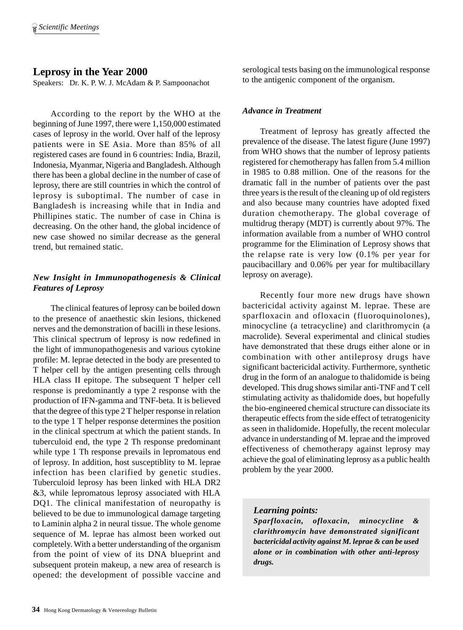# **Leprosy in the Year 2000**

Speakers: Dr. K. P. W. J. McAdam & P. Sampoonachot

According to the report by the WHO at the beginning of June 1997, there were 1,150,000 estimated cases of leprosy in the world. Over half of the leprosy patients were in SE Asia. More than 85% of all registered cases are found in 6 countries: India, Brazil, Indonesia, Myanmar, Nigeria and Bangladesh. Although there has been a global decline in the number of case of leprosy, there are still countries in which the control of leprosy is suboptimal. The number of case in Bangladesh is increasing while that in India and Phillipines static. The number of case in China is decreasing. On the other hand, the global incidence of new case showed no similar decrease as the general trend, but remained static.

### *New Insight in Immunopathogenesis & Clinical Features of Leprosy*

The clinical features of leprosy can be boiled down to the presence of anaethestic skin lesions, thickened nerves and the demonstration of bacilli in these lesions. This clinical spectrum of leprosy is now redefined in the light of immunopathogenesis and various cytokine profile: M. leprae detected in the body are presented to T helper cell by the antigen presenting cells through HLA class II epitope. The subsequent T helper cell response is predominantly a type 2 response with the production of IFN-gamma and TNF-beta. It is believed that the degree of this type 2 T helper response in relation to the type 1 T helper response determines the position in the clinical spectrum at which the patient stands. In tuberculoid end, the type 2 Th response predominant while type 1 Th response prevails in lepromatous end of leprosy. In addition, host susceptiblity to M. leprae infection has been clarified by genetic studies. Tuberculoid leprosy has been linked with HLA DR2 &3, while lepromatous leprosy associated with HLA DQ1. The clinical manifestation of neuropathy is believed to be due to immunological damage targeting to Laminin alpha 2 in neural tissue. The whole genome sequence of M. leprae has almost been worked out completely. With a better understanding of the organism from the point of view of its DNA blueprint and subsequent protein makeup, a new area of research is opened: the development of possible vaccine and serological tests basing on the immunological response to the antigenic component of the organism.

### *Advance in Treatment*

Treatment of leprosy has greatly affected the prevalence of the disease. The latest figure (June 1997) from WHO shows that the number of leprosy patients registered for chemotherapy has fallen from 5.4 million in 1985 to 0.88 million. One of the reasons for the dramatic fall in the number of patients over the past three years is the result of the cleaning up of old registers and also because many countries have adopted fixed duration chemotherapy. The global coverage of multidrug therapy (MDT) is currently about 97%. The information available from a number of WHO control programme for the Elimination of Leprosy shows that the relapse rate is very low (0.1% per year for paucibacillary and 0.06% per year for multibacillary leprosy on average).

Recently four more new drugs have shown bactericidal activity against M. leprae. These are sparfloxacin and ofloxacin (fluoroquinolones), minocycline (a tetracycline) and clarithromycin (a macrolide). Several experimental and clinical studies have demonstrated that these drugs either alone or in combination with other antileprosy drugs have significant bactericidal activity. Furthermore, synthetic drug in the form of an analogue to thalidomide is being developed. This drug shows similar anti-TNF and T cell stimulating activity as thalidomide does, but hopefully the bio-engineered chemical structure can dissociate its therapeutic effects from the side effect of tetratogenicity as seen in thalidomide. Hopefully, the recent molecular advance in understanding of M. leprae and the improved effectiveness of chemotherapy against leprosy may achieve the goal of eliminating leprosy as a public health problem by the year 2000.

## *Learning points:*

*Sparfloxacin, ofloxacin, minocycline & clarithromycin have demonstrated significant bactericidal activity against M. leprae & can be used alone or in combination with other anti-leprosy drugs.*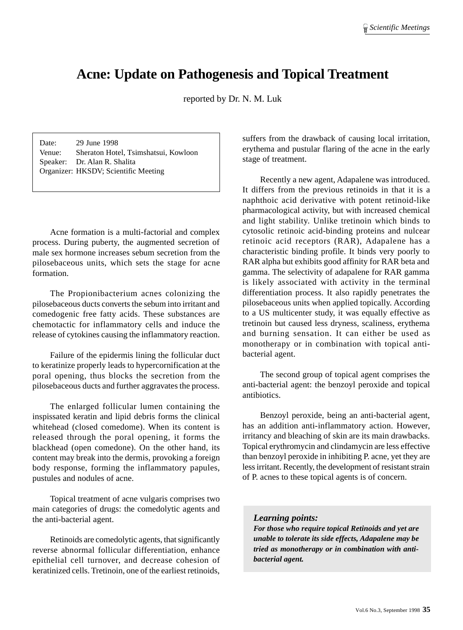# **Acne: Update on Pathogenesis and Topical Treatment**

reported by Dr. N. M. Luk

Date: 29 June 1998 Venue: Sheraton Hotel, Tsimshatsui, Kowloon Speaker: Dr. Alan R. Shalita Organizer: HKSDV; Scientific Meeting

Acne formation is a multi-factorial and complex process. During puberty, the augmented secretion of male sex hormone increases sebum secretion from the pilosebaceous units, which sets the stage for acne formation.

The Propionibacterium acnes colonizing the pilosebaceous ducts converts the sebum into irritant and comedogenic free fatty acids. These substances are chemotactic for inflammatory cells and induce the release of cytokines causing the inflammatory reaction.

Failure of the epidermis lining the follicular duct to keratinize properly leads to hypercornification at the poral opening, thus blocks the secretion from the pilosebaceous ducts and further aggravates the process.

The enlarged follicular lumen containing the inspissated keratin and lipid debris forms the clinical whitehead (closed comedome). When its content is released through the poral opening, it forms the blackhead (open comedone). On the other hand, its content may break into the dermis, provoking a foreign body response, forming the inflammatory papules, pustules and nodules of acne.

Topical treatment of acne vulgaris comprises two main categories of drugs: the comedolytic agents and the anti-bacterial agent.

Retinoids are comedolytic agents, that significantly reverse abnormal follicular differentiation, enhance epithelial cell turnover, and decrease cohesion of keratinized cells. Tretinoin, one of the earliest retinoids, suffers from the drawback of causing local irritation, erythema and pustular flaring of the acne in the early stage of treatment.

Recently a new agent, Adapalene was introduced. It differs from the previous retinoids in that it is a naphthoic acid derivative with potent retinoid-like pharmacological activity, but with increased chemical and light stability. Unlike tretinoin which binds to cytosolic retinoic acid-binding proteins and nulcear retinoic acid receptors (RAR), Adapalene has a characteristic binding profile. It binds very poorly to RAR alpha but exhibits good affinity for RAR beta and gamma. The selectivity of adapalene for RAR gamma is likely associated with activity in the terminal differentiation process. It also rapidly penetrates the pilosebaceous units when applied topically. According to a US multicenter study, it was equally effective as tretinoin but caused less dryness, scaliness, erythema and burning sensation. It can either be used as monotherapy or in combination with topical antibacterial agent.

The second group of topical agent comprises the anti-bacterial agent: the benzoyl peroxide and topical antibiotics.

Benzoyl peroxide, being an anti-bacterial agent, has an addition anti-inflammatory action. However, irritancy and bleaching of skin are its main drawbacks. Topical erythromycin and clindamycin are less effective than benzoyl peroxide in inhibiting P. acne, yet they are less irritant. Recently, the development of resistant strain of P. acnes to these topical agents is of concern.

#### *Learning points:*

*For those who require topical Retinoids and yet are unable to tolerate its side effects, Adapalene may be tried as monotherapy or in combination with antibacterial agent.*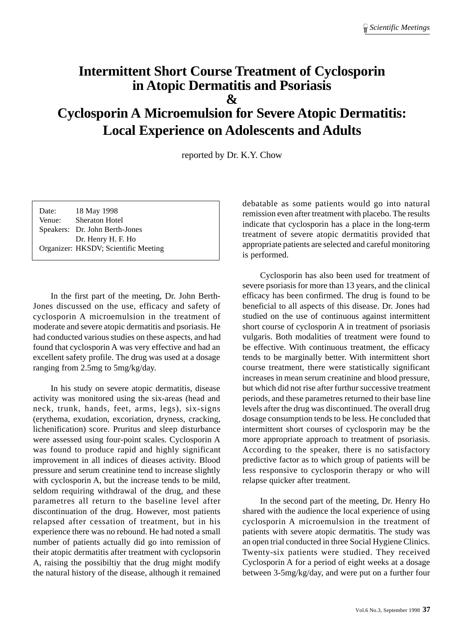# **Intermittent Short Course Treatment of Cyclosporin in Atopic Dermatitis and Psoriasis & Cyclosporin A Microemulsion for Severe Atopic Dermatitis: Local Experience on Adolescents and Adults**

reported by Dr. K.Y. Chow

| Date:  | 18 May 1998                          |
|--------|--------------------------------------|
| Venue: | <b>Sheraton Hotel</b>                |
|        | Speakers: Dr. John Berth-Jones       |
|        | Dr. Henry H. F. Ho                   |
|        | Organizer: HKSDV; Scientific Meeting |

In the first part of the meeting, Dr. John Berth-Jones discussed on the use, efficacy and safety of cyclosporin A microemulsion in the treatment of moderate and severe atopic dermatitis and psoriasis. He had conducted various studies on these aspects, and had found that cyclosporin A was very effective and had an excellent safety profile. The drug was used at a dosage ranging from 2.5mg to 5mg/kg/day.

In his study on severe atopic dermatitis, disease activity was monitored using the six-areas (head and neck, trunk, hands, feet, arms, legs), six-signs (erythema, exudation, excoriation, dryness, cracking, lichenification) score. Pruritus and sleep disturbance were assessed using four-point scales. Cyclosporin A was found to produce rapid and highly significant improvement in all indices of dieases activity. Blood pressure and serum creatinine tend to increase slightly with cyclosporin A, but the increase tends to be mild, seldom requiring withdrawal of the drug, and these parametres all return to the baseline level after discontinuation of the drug. However, most patients relapsed after cessation of treatment, but in his experience there was no rebound. He had noted a small number of patients actually did go into remission of their atopic dermatitis after treatment with cyclopsorin A, raising the possibiltiy that the drug might modify the natural history of the disease, although it remained debatable as some patients would go into natural remission even after treatment with placebo. The results indicate that cyclosporin has a place in the long-term treatment of severe atopic dermatitis provided that appropriate patients are selected and careful monitoring is performed.

Cyclosporin has also been used for treatment of severe psoriasis for more than 13 years, and the clinical efficacy has been confirmed. The drug is found to be beneficial to all aspects of this disease. Dr. Jones had studied on the use of continuous against intermittent short course of cyclosporin A in treatment of psoriasis vulgaris. Both modalities of treatment were found to be effective. With continuous treatment, the efficacy tends to be marginally better. With intermittent short course treatment, there were statistically significant increases in mean serum creatinine and blood pressure, but which did not rise after furthur successive treatment periods, and these parametres returned to their base line levels after the drug was discontinued. The overall drug dosage consumption tends to be less. He concluded that intermittent short courses of cyclosporin may be the more appropriate approach to treatment of psoriasis. According to the speaker, there is no satisfactory predictive factor as to which group of patients will be less responsive to cyclosporin therapy or who will relapse quicker after treatment.

In the second part of the meeting, Dr. Henry Ho shared with the audience the local experience of using cyclosporin A microemulsion in the treatment of patients with severe atopic dermatitis. The study was an open trial conducted in three Social Hygiene Clinics. Twenty-six patients were studied. They received Cyclosporin A for a period of eight weeks at a dosage between 3-5mg/kg/day, and were put on a further four